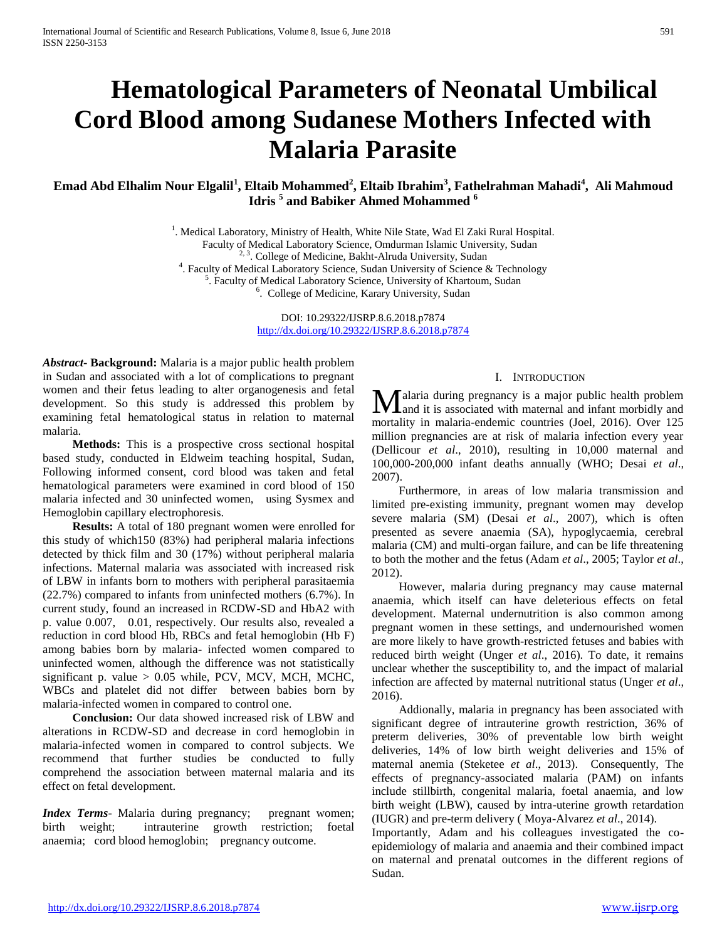# **Hematological Parameters of Neonatal Umbilical Cord Blood among Sudanese Mothers Infected with Malaria Parasite**

**Emad Abd Elhalim Nour Elgalil<sup>1</sup> , Eltaib Mohammed<sup>2</sup> , Eltaib Ibrahim<sup>3</sup> , Fathelrahman Mahadi<sup>4</sup> , Ali Mahmoud Idris <sup>5</sup> and Babiker Ahmed Mohammed <sup>6</sup>**

<sup>1</sup>. Medical Laboratory, Ministry of Health, White Nile State, Wad El Zaki Rural Hospital.

Faculty of Medical Laboratory Science, Omdurman Islamic University, Sudan

<sup>2, 3</sup>. College of Medicine, Bakht-Alruda University, Sudan

<sup>4</sup>. Faculty of Medical Laboratory Science, Sudan University of Science & Technology

<sup>5</sup>. Faculty of Medical Laboratory Science, University of Khartoum, Sudan

<sup>6</sup>. College of Medicine, Karary University, Sudan

DOI: 10.29322/IJSRP.8.6.2018.p7874 <http://dx.doi.org/10.29322/IJSRP.8.6.2018.p7874>

*Abstract***- Background:** Malaria is a major public health problem in Sudan and associated with a lot of complications to pregnant women and their fetus leading to alter organogenesis and fetal development. So this study is addressed this problem by examining fetal hematological status in relation to maternal malaria.

 **Methods:** This is a prospective cross sectional hospital based study, conducted in Eldweim teaching hospital, Sudan, Following informed consent, cord blood was taken and fetal hematological parameters were examined in cord blood of 150 malaria infected and 30 uninfected women, using Sysmex and Hemoglobin capillary electrophoresis.

 **Results:** A total of 180 pregnant women were enrolled for this study of which150 (83%) had peripheral malaria infections detected by thick film and 30 (17%) without peripheral malaria infections. Maternal malaria was associated with increased risk of LBW in infants born to mothers with peripheral parasitaemia (22.7%) compared to infants from uninfected mothers (6.7%). In current study, found an increased in RCDW-SD and HbA2 with p. value 0.007, 0.01, respectively. Our results also, revealed a reduction in cord blood Hb, RBCs and fetal hemoglobin (Hb F) among babies born by malaria- infected women compared to uninfected women, although the difference was not statistically significant p. value  $> 0.05$  while, PCV, MCV, MCH, MCHC, WBCs and platelet did not differ between babies born by malaria-infected women in compared to control one.

 **Conclusion:** Our data showed increased risk of LBW and alterations in RCDW-SD and decrease in cord hemoglobin in malaria-infected women in compared to control subjects. We recommend that further studies be conducted to fully comprehend the association between maternal malaria and its effect on fetal development.

**Index Terms**- Malaria during pregnancy; pregnant women; birth weight; intrauterine growth restriction; foetal anaemia; cord blood hemoglobin; pregnancy outcome.

#### I. INTRODUCTION

alaria during pregnancy is a major public health problem **M**alaria during pregnancy is a major public health problem and it is associated with maternal and infant morbidly and mortality in malaria-endemic countries (Joel, 2016). Over 125 million pregnancies are at risk of malaria infection every year (Dellicour *et al*., 2010), resulting in 10,000 maternal and 100,000-200,000 infant deaths annually (WHO; Desai *et al*., 2007).

 Furthermore, in areas of low malaria transmission and limited pre-existing immunity, pregnant women may develop severe malaria (SM) (Desai *et al*., 2007), which is often presented as severe anaemia (SA), hypoglycaemia, cerebral malaria (CM) and multi-organ failure, and can be life threatening to both the mother and the fetus (Adam *et al*., 2005; Taylor *et al*., 2012).

 However, malaria during pregnancy may cause maternal anaemia, which itself can have deleterious effects on fetal development. Maternal undernutrition is also common among pregnant women in these settings, and undernourished women are more likely to have growth-restricted fetuses and babies with reduced birth weight (Unger *et al*., 2016). To date, it remains unclear whether the susceptibility to, and the impact of malarial infection are affected by maternal nutritional status (Unger *et al*., 2016).

 Addionally, malaria in pregnancy has been associated with significant degree of intrauterine growth restriction, 36% of preterm deliveries, 30% of preventable low birth weight deliveries, 14% of low birth weight deliveries and 15% of maternal anemia (Steketee *et al*., 2013). Consequently, The effects of pregnancy-associated malaria (PAM) on infants include stillbirth, congenital malaria, foetal anaemia, and low birth weight (LBW), caused by intra-uterine growth retardation (IUGR) and pre-term delivery ( Moya-Alvarez *et al*., 2014).

Importantly, Adam and his colleagues investigated the coepidemiology of malaria and anaemia and their combined impact on maternal and prenatal outcomes in the different regions of Sudan.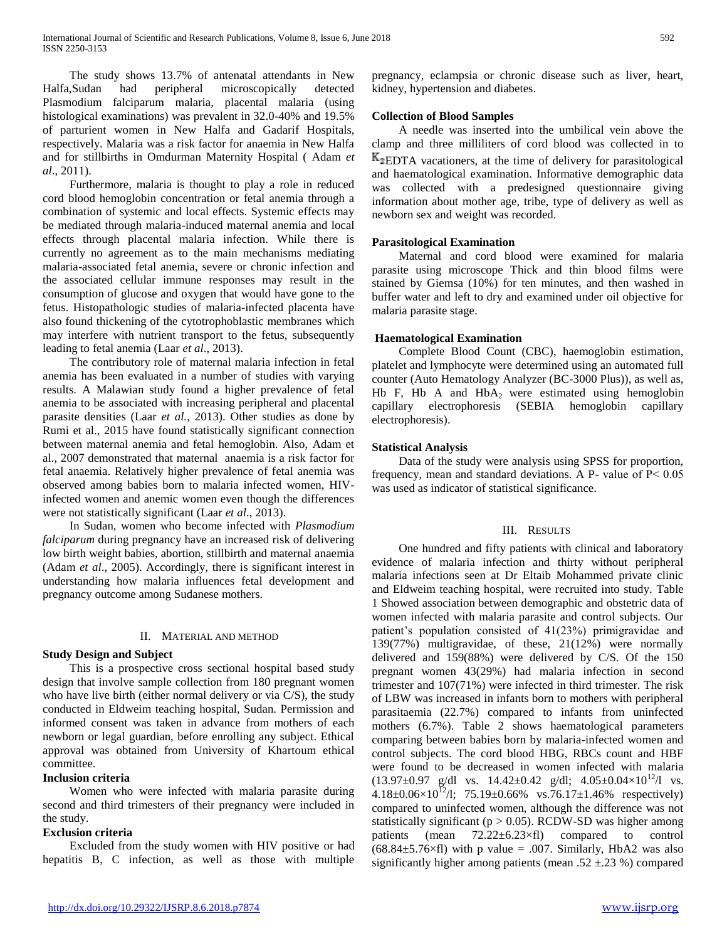The study shows 13.7% of antenatal attendants in New Halfa,Sudan had peripheral microscopically detected Plasmodium falciparum malaria, placental malaria (using histological examinations) was prevalent in 32.0-40% and 19.5% of parturient women in New Halfa and Gadarif Hospitals, respectively. Malaria was a risk factor for anaemia in New Halfa and for stillbirths in Omdurman Maternity Hospital ( Adam *et al*., 2011).

 Furthermore, malaria is thought to play a role in reduced cord blood hemoglobin concentration or fetal anemia through a combination of systemic and local effects. Systemic effects may be mediated through malaria-induced maternal anemia and local effects through placental malaria infection. While there is currently no agreement as to the main mechanisms mediating malaria-associated fetal anemia, severe or chronic infection and the associated cellular immune responses may result in the consumption of glucose and oxygen that would have gone to the fetus. Histopathologic studies of malaria-infected placenta have also found thickening of the cytotrophoblastic membranes which may interfere with nutrient transport to the fetus, subsequently leading to fetal anemia (Laar *et al*., 2013).

 The contributory role of maternal malaria infection in fetal anemia has been evaluated in a number of studies with varying results. A Malawian study found a higher prevalence of fetal anemia to be associated with increasing peripheral and placental parasite densities (Laar *et al.,* 2013). Other studies as done by Rumi et al., 2015 have found statistically significant connection between maternal anemia and fetal hemoglobin. Also, Adam et al., 2007 demonstrated that maternal anaemia is a risk factor for fetal anaemia. Relatively higher prevalence of fetal anemia was observed among babies born to malaria infected women, HIVinfected women and anemic women even though the differences were not statistically significant (Laar *et al*., 2013).

 In Sudan, women who become infected with *Plasmodium falciparum* during pregnancy have an increased risk of delivering low birth weight babies, abortion, stillbirth and maternal anaemia (Adam *et al*., 2005). Accordingly, there is significant interest in understanding how malaria influences fetal development and pregnancy outcome among Sudanese mothers.

## II. MATERIAL AND METHOD

## **Study Design and Subject**

 This is a prospective cross sectional hospital based study design that involve sample collection from 180 pregnant women who have live birth (either normal delivery or via C/S), the study conducted in Eldweim teaching hospital, Sudan. Permission and informed consent was taken in advance from mothers of each newborn or legal guardian, before enrolling any subject. Ethical approval was obtained from University of Khartoum ethical committee.

## **Inclusion criteria**

 Women who were infected with malaria parasite during second and third trimesters of their pregnancy were included in the study.

# **Exclusion criteria**

 Excluded from the study women with HIV positive or had hepatitis B, C infection, as well as those with multiple pregnancy, eclampsia or chronic disease such as liver, heart, kidney, hypertension and diabetes.

## **Collection of Blood Samples**

 A needle was inserted into the umbilical vein above the clamp and three milliliters of cord blood was collected in to  $K<sub>2</sub>EDTA$  vacationers, at the time of delivery for parasitological and haematological examination. Informative demographic data was collected with a predesigned questionnaire giving information about mother age, tribe, type of delivery as well as newborn sex and weight was recorded.

## **Parasitological Examination**

 Maternal and cord blood were examined for malaria parasite using microscope Thick and thin blood films were stained by Giemsa (10%) for ten minutes, and then washed in buffer water and left to dry and examined under oil objective for malaria parasite stage.

## **Haematological Examination**

 Complete Blood Count (CBC), haemoglobin estimation, platelet and lymphocyte were determined using an automated full counter (Auto Hematology Analyzer (BC-3000 Plus)), as well as, Hb F, Hb A and  $HbA_2$  were estimated using hemoglobin capillary electrophoresis (SEBIA hemoglobin capillary electrophoresis).

## **Statistical Analysis**

 Data of the study were analysis using SPSS for proportion, frequency, mean and standard deviations. A P- value of  $P < 0.05$ was used as indicator of statistical significance.

# III. RESULTS

 One hundred and fifty patients with clinical and laboratory evidence of malaria infection and thirty without peripheral malaria infections seen at Dr Eltaib Mohammed private clinic and Eldweim teaching hospital, were recruited into study. Table 1 Showed association between demographic and obstetric data of women infected with malaria parasite and control subjects. Our patient's population consisted of 41(23%) primigravidae and 139(77%) multigravidae, of these, 21(12%) were normally delivered and 159(88%) were delivered by C/S. Of the 150 pregnant women 43(29%) had malaria infection in second trimester and 107(71%) were infected in third trimester. The risk of LBW was increased in infants born to mothers with peripheral parasitaemia (22.7%) compared to infants from uninfected mothers (6.7%). Table 2 shows haematological parameters comparing between babies born by malaria-infected women and control subjects. The cord blood HBG, RBCs count and HBF were found to be decreased in women infected with malaria  $(13.97\pm0.97 \text{ g/dl} \text{ vs. } 14.42\pm0.42 \text{ g/dl}; 4.05\pm0.04\times10^{12}/l \text{ vs. }$  $4.18\pm0.06\times10^{12}$ /l;  $75.19\pm0.66\%$  vs.76.17 $\pm1.46\%$  respectively) compared to uninfected women, although the difference was not statistically significant ( $p > 0.05$ ). RCDW-SD was higher among patients (mean 72.22±6.23×fl) compared to control  $(68.84\pm5.76\times\text{f})$  with p value = .007. Similarly, HbA2 was also significantly higher among patients (mean .52  $\pm$ .23 %) compared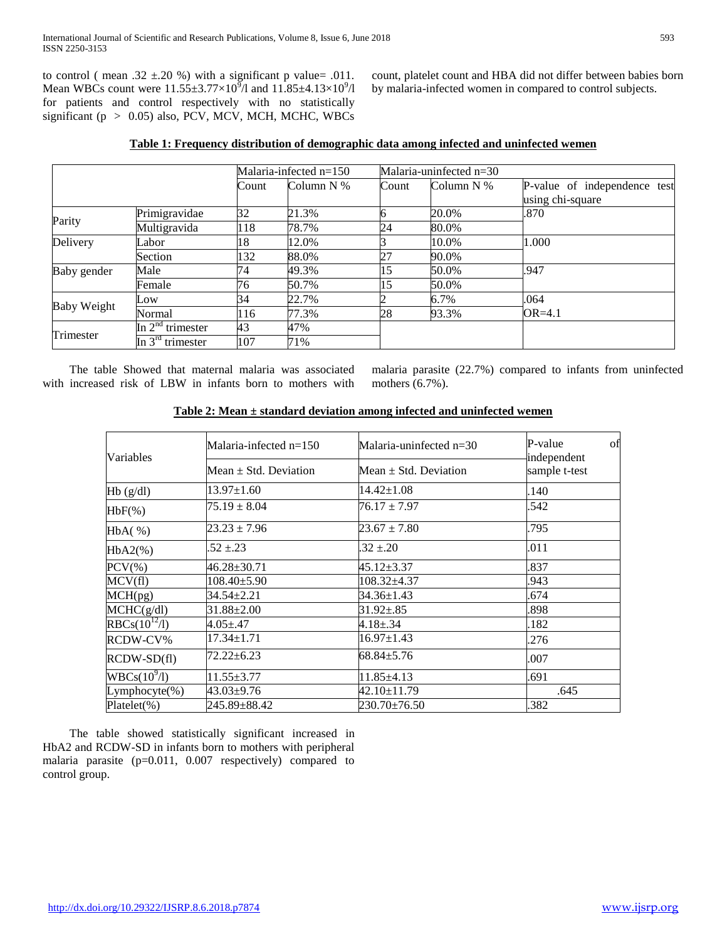to control ( mean .32  $\pm$ .20 %) with a significant p value= .011. Mean WBCs count were  $11.55 \pm 3.77 \times 10^9$ /l and  $11.85 \pm 4.13 \times 10^9$ /l for patients and control respectively with no statistically significant (p > 0.05) also, PCV, MCV, MCH, MCHC, WBCs

count, platelet count and HBA did not differ between babies born by malaria-infected women in compared to control subjects.

|  | Table 1: Frequency distribution of demographic data among infected and uninfected wemen |  |
|--|-----------------------------------------------------------------------------------------|--|
|  |                                                                                         |  |

|                    |                       |       | Malaria-infected $n=150$ |       | Malaria-uninfected n=30 |                                                  |  |
|--------------------|-----------------------|-------|--------------------------|-------|-------------------------|--------------------------------------------------|--|
|                    |                       | Count | Column N %               | Count | Column N %              | P-value of independence test<br>using chi-square |  |
| Parity             | Primigravidae         | 32    | 21.3%                    |       | 20.0%                   | .870                                             |  |
|                    | Multigravida          | 118   | 78.7%                    | 24    | 80.0%                   |                                                  |  |
| Delivery           | Labor                 | 18    | 12.0%                    |       | 10.0%                   | 1.000                                            |  |
|                    | Section               | 132   | 88.0%                    | 27    | 90.0%                   |                                                  |  |
| Baby gender        | Male                  | 74    | 49.3%                    | 15    | 50.0%                   | .947                                             |  |
|                    | Female                | 76    | 50.7%                    | 15    | 50.0%                   |                                                  |  |
| <b>Baby Weight</b> | Low                   | 34    | 22.7%                    |       | 6.7%                    | .064                                             |  |
|                    | Normal                | 116   | 77.3%                    | 28    | 93.3%                   | $OR = 4.1$                                       |  |
| Trimester          | In $2nd$ trimester    | 43    | 47%                      |       |                         |                                                  |  |
|                    | In $3^{rd}$ trimester | 107   | 71%                      |       |                         |                                                  |  |

 The table Showed that maternal malaria was associated with increased risk of LBW in infants born to mothers with malaria parasite (22.7%) compared to infants from uninfected mothers (6.7%).

| Variables                          | Malaria-infected $n=150$  | Malaria-uninfected $n=30$ | of<br>P-value<br>independent |
|------------------------------------|---------------------------|---------------------------|------------------------------|
|                                    | Mean $\pm$ Std. Deviation | Mean $\pm$ Std. Deviation | sample t-test                |
| $Hb$ (g/dl)                        | 13.97±1.60                | $14.42 \pm 1.08$          | .140                         |
| $HbF(\% )$                         | $75.19 \pm 8.04$          | $76.17 \pm 7.97$          | .542                         |
| HbA( %)                            | $23.23 \pm 7.96$          | $23.67 \pm 7.80$          | .795                         |
| $HbA2(\%)$                         | $.52 \pm .23$             | $.32 \pm .20$             | .011                         |
| $PCV(\% )$                         | 46.28±30.71               | 45.12±3.37                | .837                         |
| MCV(fl)                            | $108.40 \pm 5.90$         | 108.32±4.37               | .943                         |
| $\overline{\text{MCH}}(\text{pg})$ | $34.54 \pm 2.21$          | 34.36±1.43                | .674                         |
| MCHC(g/dl)                         | $31.88 \pm 2.00$          | $31.92 \pm .85$           | .898                         |
| $RBCs(10^{12}/1)$                  | $4.05 \pm .47$            | $4.18 \pm .34$            | .182                         |
| RCDW-CV%                           | $17.34 \pm 1.71$          | $16.97 \pm 1.43$          | .276                         |
| $RCDW-SD(f)$                       | $72.22 \pm 6.23$          | $68.84 \pm 5.76$          | .007                         |
| $WBCs(10^9/1)$                     | $11.55 \pm 3.77$          | $11.85 \pm 4.13$          | .691                         |
| $Lymphocyte(\% )$                  | 43.03±9.76                | 42.10±11.79               | .645                         |
| $Platelet(\% )$                    | 245.89±88.42              | 230.70±76.50              | .382                         |

# **Table 2: Mean ± standard deviation among infected and uninfected wemen**

 The table showed statistically significant increased in HbA2 and RCDW-SD in infants born to mothers with peripheral malaria parasite (p=0.011, 0.007 respectively) compared to control group.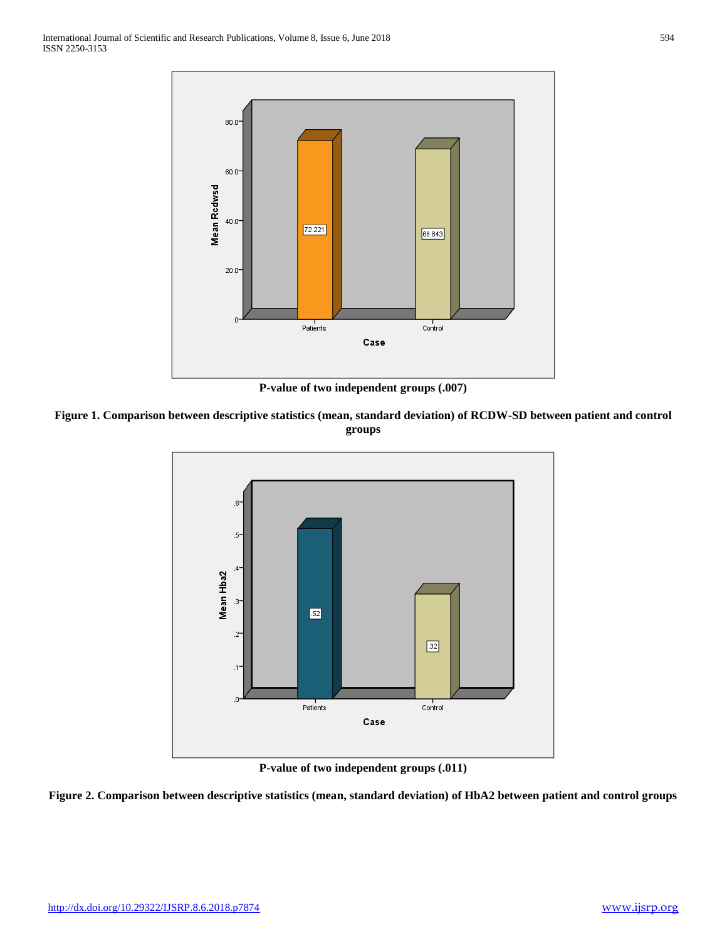

**P-value of two independent groups (.007)**





**P-value of two independent groups (.011)**

**Figure 2. Comparison between descriptive statistics (mean, standard deviation) of HbA2 between patient and control groups**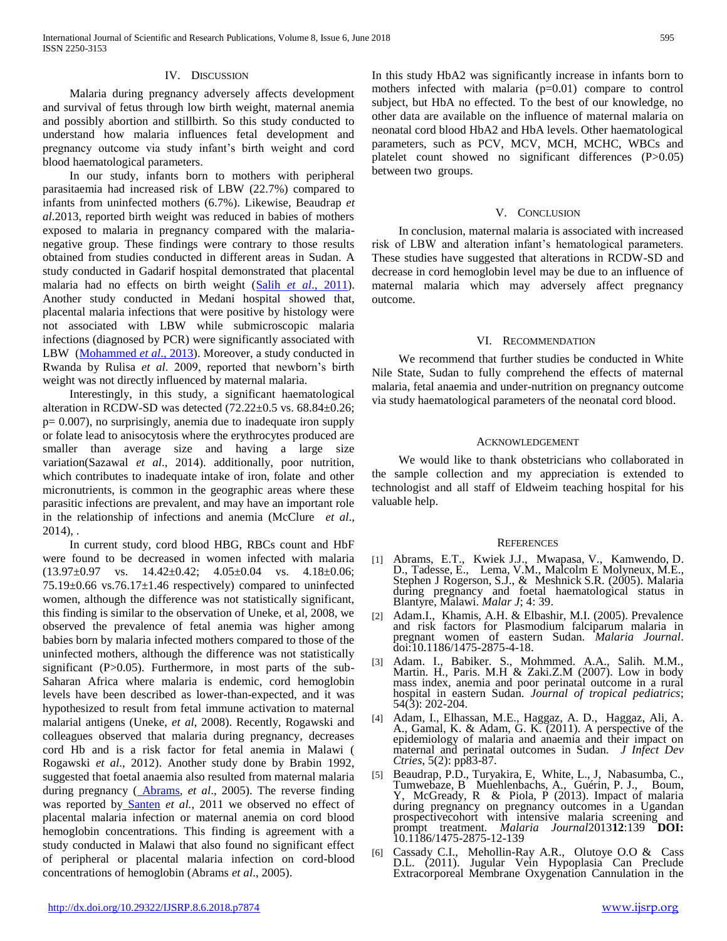#### IV. DISCUSSION

 Malaria during pregnancy adversely affects development and survival of fetus through low birth weight, maternal anemia and possibly abortion and stillbirth. So this study conducted to understand how malaria influences fetal development and pregnancy outcome via study infant's birth weight and cord blood haematological parameters.

 In our study, infants born to mothers with peripheral parasitaemia had increased risk of LBW (22.7%) compared to infants from uninfected mothers (6.7%). Likewise, Beaudrap *et al*.2013, reported birth weight was reduced in babies of mothers exposed to malaria in pregnancy compared with the malarianegative group. These findings were contrary to those results obtained from studies conducted in different areas in Sudan. A study conducted in Gadarif hospital demonstrated that placental malaria had no effects on birth weight (Salih *et al*[., 2011\)](file:///C:/Users/Emad/Desktop/paper%20one.docx%23ref-35). Another study conducted in Medani hospital showed that, placental malaria infections that were positive by histology were not associated with LBW while submicroscopic malaria infections (diagnosed by PCR) were significantly associated with LBW [\(Mohammed](file:///C:/Users/Emad/Desktop/paper%20one.docx%23ref-27) *et al*., 2013). Moreover, a study conducted in Rwanda by Rulisa *et al*. 2009, reported that newborn's birth weight was not directly influenced by maternal malaria.

 Interestingly, in this study, a significant haematological alteration in RCDW-SD was detected  $(72.22\pm0.5 \text{ vs. } 68.84\pm0.26;$  $p= 0.007$ , no surprisingly, anemia due to inadequate iron supply or folate lead to anisocytosis where the erythrocytes produced are smaller than average size and having a large size variation(Sazawal *et al*., 2014). additionally, poor nutrition, which contributes to inadequate intake of iron, folate and other micronutrients, is common in the geographic areas where these parasitic infections are prevalent, and may have an important role in the relationship of infections and anemia (McClure *et al*.,  $2014$ ), .

 In current study, cord blood HBG, RBCs count and HbF were found to be decreased in women infected with malaria  $(13.97\pm0.97$  vs.  $14.42\pm0.42$ ;  $4.05\pm0.04$  vs.  $4.18\pm0.06$ ;  $75.19\pm0.66$  vs.76.17 $\pm$ 1.46 respectively) compared to uninfected women, although the difference was not statistically significant, this finding is similar to the observation of Uneke, et al, 2008, we observed the prevalence of fetal anemia was higher among babies born by malaria infected mothers compared to those of the uninfected mothers, although the difference was not statistically significant (P>0.05). Furthermore, in most parts of the sub-Saharan Africa where malaria is endemic, cord hemoglobin levels have been described as lower-than-expected, and it was hypothesized to result from fetal immune activation to maternal malarial antigens (Uneke, *et al*, 2008). Recently, Rogawski and colleagues observed that malaria during pregnancy, decreases cord Hb and is a risk factor for fetal anemia in Malawi ( Rogawski *et al*., 2012). Another study done by Brabin 1992, suggested that foetal anaemia also resulted from maternal malaria during pregnancy ( [Abrams](https://www.ncbi.nlm.nih.gov/pubmed/?term=Abrams%20ET%5BAuthor%5D&cauthor=true&cauthor_uid=16122391)*, et al*., 2005). The reverse finding was reported by [Santen](https://www.ncbi.nlm.nih.gov/pubmed/?term=Van%20Santen%20S%5BAuthor%5D&cauthor=true&cauthor_uid=21212218) *et al.*, 2011 we observed no effect of placental malaria infection or maternal anemia on cord blood hemoglobin concentrations. This finding is agreement with a study conducted in Malawi that also found no significant effect of peripheral or placental malaria infection on cord-blood concentrations of hemoglobin (Abrams *et al*., 2005).

In this study HbA2 was significantly increase in infants born to mothers infected with malaria  $(p=0.01)$  compare to control subject, but HbA no effected. To the best of our knowledge, no other data are available on the influence of maternal malaria on neonatal cord blood HbA2 and HbA levels. Other haematological parameters, such as PCV, MCV, MCH, MCHC, WBCs and platelet count showed no significant differences (P>0.05) between two groups.

#### V. CONCLUSION

 In conclusion, maternal malaria is associated with increased risk of LBW and alteration infant's hematological parameters. These studies have suggested that alterations in RCDW-SD and decrease in cord hemoglobin level may be due to an influence of maternal malaria which may adversely affect pregnancy outcome.

### VI. RECOMMENDATION

 We recommend that further studies be conducted in White Nile State, Sudan to fully comprehend the effects of maternal malaria, fetal anaemia and under-nutrition on pregnancy outcome via study haematological parameters of the neonatal cord blood.

#### ACKNOWLEDGEMENT

 We would like to thank obstetricians who collaborated in the sample collection and my appreciation is extended to technologist and all staff of Eldweim teaching hospital for his valuable help.

#### **REFERENCES**

- [1] [Abrams,](https://www.ncbi.nlm.nih.gov/pubmed/?term=Abrams%20ET%5BAuthor%5D&cauthor=true&cauthor_uid=16122391) E.T., [Kwiek](https://www.ncbi.nlm.nih.gov/pubmed/?term=Kwiek%20JJ%5BAuthor%5D&cauthor=true&cauthor_uid=16122391) J.J., [Mwapasa,](https://www.ncbi.nlm.nih.gov/pubmed/?term=Mwapasa%20V%5BAuthor%5D&cauthor=true&cauthor_uid=16122391) V., [Kamwendo,](https://www.ncbi.nlm.nih.gov/pubmed/?term=Kamwendo%20DD%5BAuthor%5D&cauthor=true&cauthor_uid=16122391) D. D., [Tadesse,](https://www.ncbi.nlm.nih.gov/pubmed/?term=Tadesse%20E%5BAuthor%5D&cauthor=true&cauthor_uid=16122391) E., [Lema,](https://www.ncbi.nlm.nih.gov/pubmed/?term=Lema%20VM%5BAuthor%5D&cauthor=true&cauthor_uid=16122391) V.M., [Malcolm E Molyneux,](https://www.ncbi.nlm.nih.gov/pubmed/?term=Molyneux%20ME%5BAuthor%5D&cauthor=true&cauthor_uid=16122391) M.E., [Stephen J Rogerson,](https://www.ncbi.nlm.nih.gov/pubmed/?term=Rogerson%20SJ%5BAuthor%5D&cauthor=true&cauthor_uid=16122391) S.J., & [Meshnick](https://www.ncbi.nlm.nih.gov/pubmed/?term=Meshnick%20SR%5BAuthor%5D&cauthor=true&cauthor_uid=16122391) S.R. (2005). Malaria during pregnancy and foetal haematological status in Blantyre, Malawi. *[Malar J](https://www.ncbi.nlm.nih.gov/pmc/articles/PMC1232864/)*; 4: 39.
- [2] Adam.I., Khamis, A.H. & Elbashir, M.I. (2005). Prevalence and risk factors for Plasmodium falciparum malaria in pregnant women of eastern Sudan. *Malaria Journal*. doi:10.1186/1475-2875-4-18.
- [3] Adam. I., Babiker. S., Mohmmed. A.A., Salih. M.M., Martin. H., Paris. M.H & Zaki.Z.M (2007). Low in body mass index, anemia and poor perinatal outcome in a rural hospital in eastern Sudan. *Journal of tropical pediatrics*; 54(3): 202-204.
- [4] Adam, I., Elhassan, M.E., Haggaz, A. D., Haggaz, Ali, A. A., Gamal, K. & Adam, G. K. (2011). A perspective of the epidemiology of malaria and anaemia and their impact on maternal and perinatal outcomes in Sudan*. J Infect Dev Ctries*, 5(2): pp83-87.
- [5] Beaudrap, P.D., Turyakira, E, White, L., J, Nabasumba, C., Tumwebaze, B Muehlenbachs, A., Guérin, P. J., Boum, Y, McGready, R & Piola, P (2013). Impact of malaria during pregnancy on pregnancy outcomes in a Ugandan prospectivecohort with intensive malaria screening and prompt treatment. *Malaria Journal*2013**12**:139 **DOI:**  10.1186/1475-2875-12-139
- [6] Cassady C.I., Mehollin-Ray A.R., Olutoye O.O & Cass D.L. (2011). Jugular Vein Hypoplasia Can Preclude Extracorporeal Membrane Oxygenation Cannulation in the